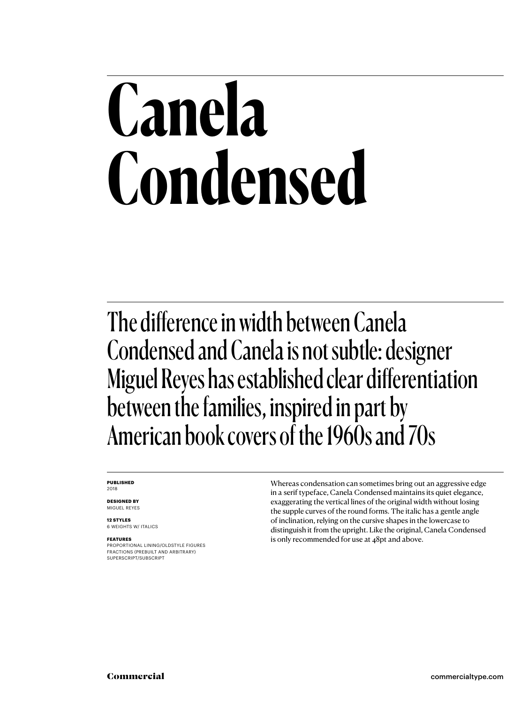# **Canela Condensed**

The difference in width between Canela Condensed and Canela is not subtle: designer Miguel Reyes has established clear differentiation between the families, inspired in part by American book covers of the 1960s and 70s

#### **PUBLISHED** 2018

**DESIGNED BY** MIGUEL REYES

**12 STYLES** 6 WEIGHTS W/ ITALICS

#### **FEATURES**

PROPORTIONAL LINING/OLDSTYLE FIGURES FRACTIONS (PREBUILT AND ARBITRARY) SUPERSCRIPT/SUBSCRIPT

Whereas condensation can sometimes bring out an aggressive edge in a serif typeface, Canela Condensed maintains its quiet elegance, exaggerating the vertical lines of the original width without losing the supple curves of the round forms. The italic has a gentle angle of inclination, relying on the cursive shapes in the lowercase to distinguish it from the upright. Like the original, Canela Condensed is only recommended for use at 48pt and above.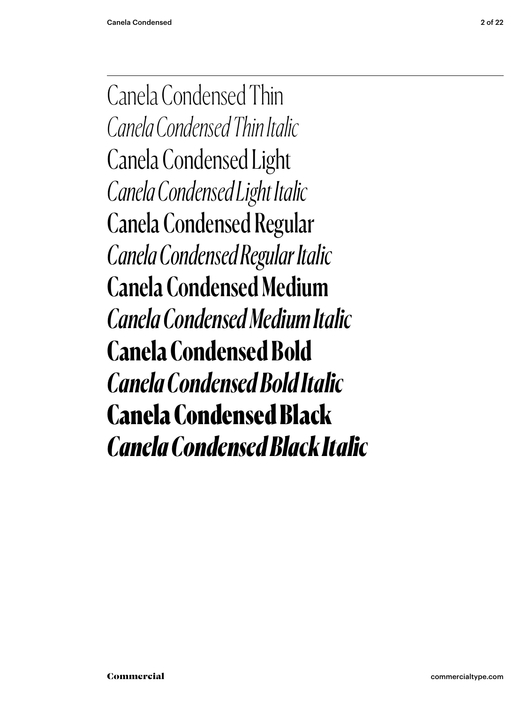Canela Condensed Thin *Canela Condensed Thin Italic* Canela Condensed Light *Canela Condensed Light Italic* Canela Condensed Regular *Canela Condensed Regular Italic* Canela Condensed Medium *Canela Condensed Medium Italic* **Canela Condensed Bold** *Canela Condensed Bold Italic* Canela Condensed Black *Canela Condensed Black Italic*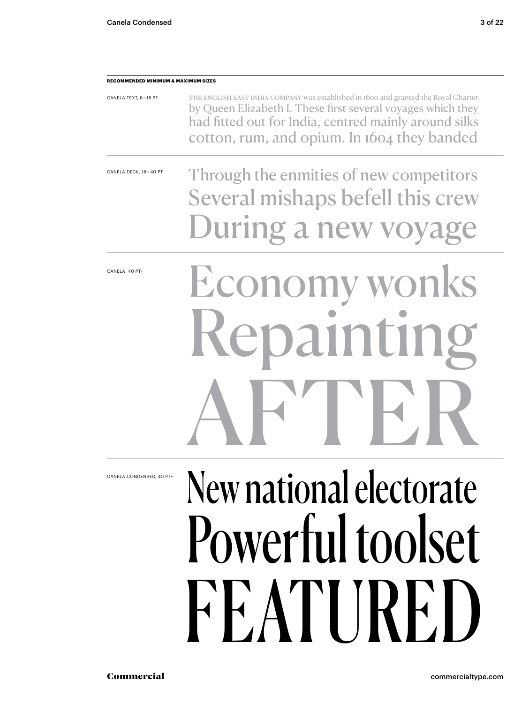CANELA TEXT, 8 – 18 PT

**RECOMMENDED MINIMUM & MAXIMUM SIZES**

### had fitted out for India, centred mainly around silks cotton, rum, and opium. In 1604 they banded Through the enmities of new competitors Several mishaps befell this crew During a new vo CANELA DECK, 18 – 40 PT New national electorate Powerful toolset FEATIRE Economy wonks Repainting AFTER CANELA, 40 PT+

The English East India Company was established in 1600 and granted the Royal Charter by Queen Elizabeth I. These first several voyages which they

CANELA CONDENSED, 40 PT+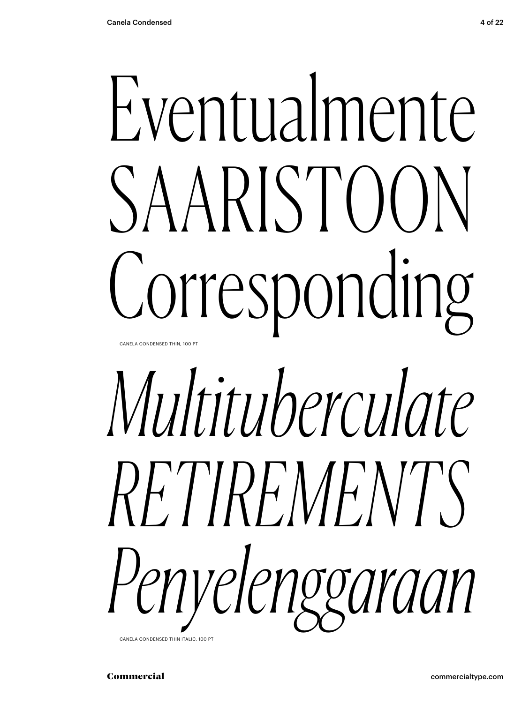# Eventualmente SAARISTOON Corresponding

CANELA CONDENSED THIN, 100 PT

# *Multituberculate RETIREMENTS Penyelenggaraan*

CANELA CONDENSED THIN ITALIC, 100 PT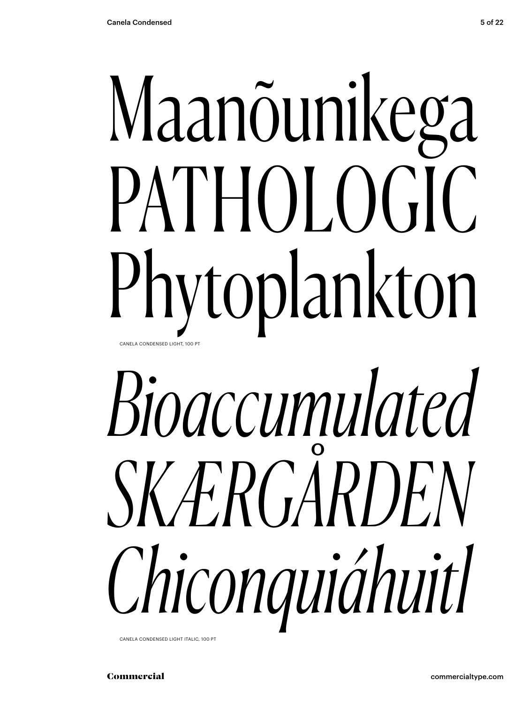# Maanõunikega PATHOLOGIC Phytoplankton CANELA CONDENSED LIGHT 100 PT

# Bioaccumulated SKÆRGÅRDEN Chiconquiáhuitl

CANELA CONDENSED LIGHT ITALIC, 100 PT

Commercial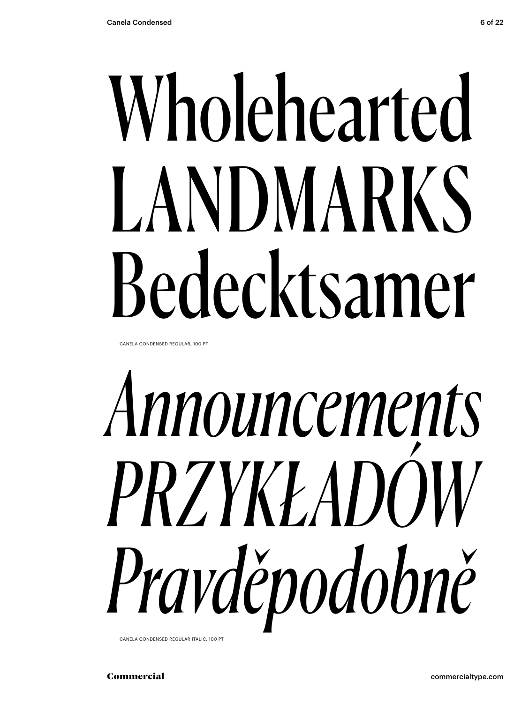# Wholehearted LANDMARKS Bedecktsamer

CANELA CONDENSED REGULAR, 100 PT

# *Announcements PRZYKŁADÓW Pravděpodobně*

CANELA CONDENSED REGULAR ITALIC, 100 PT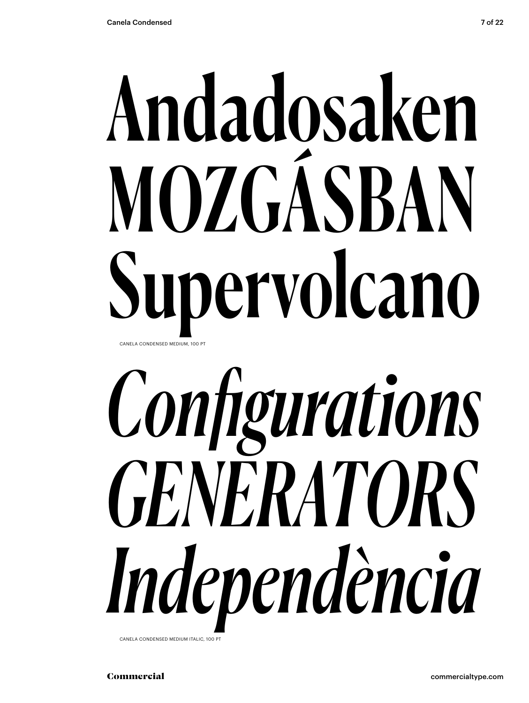# Andadosaken MOZGÁSBAN Supervolcano CANELA CONDENSED MEDIUM, 100 PT

# *Configurations GENERATORS Independència*

CANELA CONDENSED MEDIUM ITALIC, 100 PT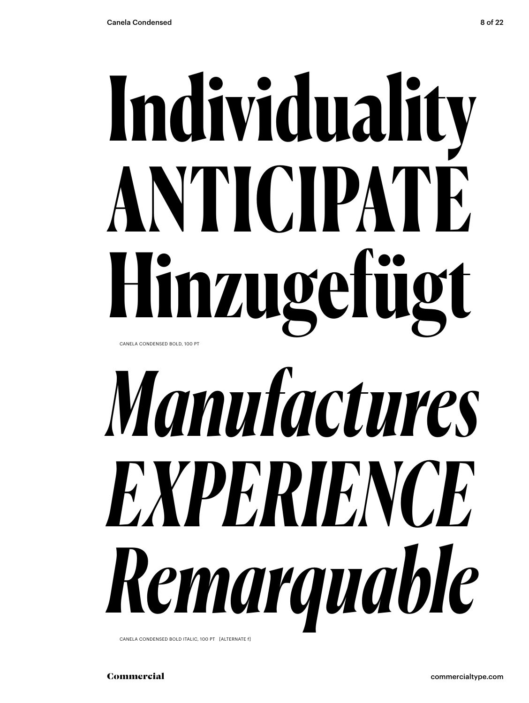# **Individuality ANTICIPATE Hinzugefügt** CANELA CONDENSED BOLD, 100 PT

*Manufactures EXPERIENCE Remarquable* CANELA CONDENSED BOLD ITALIC, 100 PT [ALTERNATE f]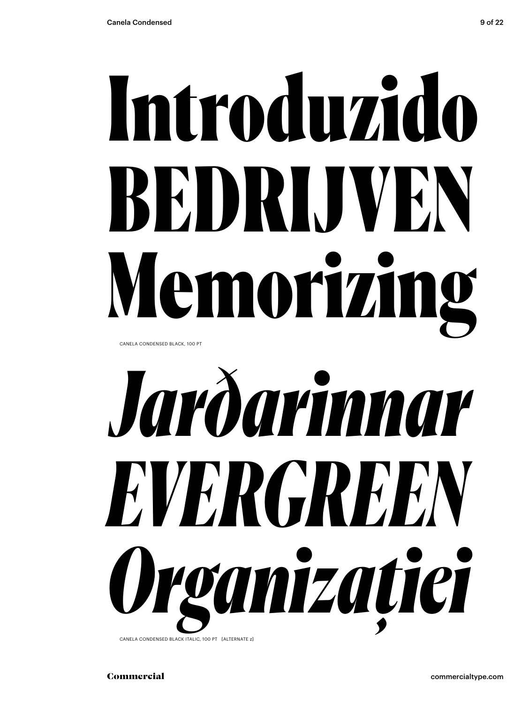# Introduzido BEDRIJVEN Memorizing

CANELA CONDENSED BLACK, 100 PT



CANELA CONDENSED BLACK ITALIC, 100 PT [ALTERNATE z]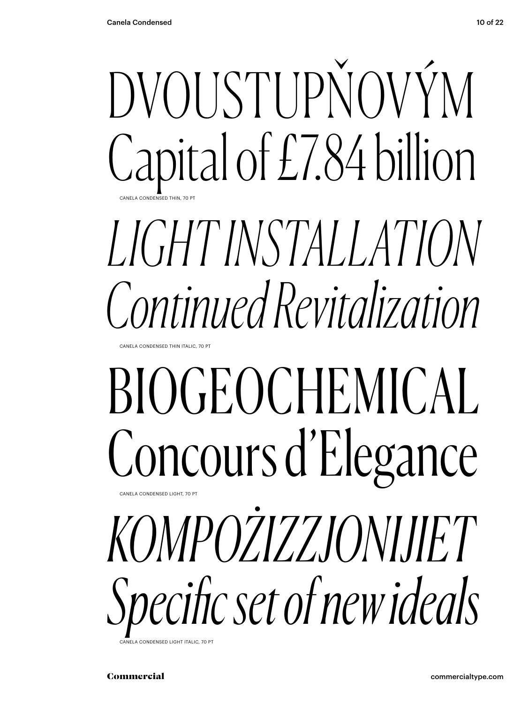

# *LIGHT INSTALLATION Continued Revitalization*

CANELA CONDENSED THIN ITALIC, 70 PT

## BIOGEOCHEMICAL Concours d'Elegance CANELA CONDENSED LIGHT, 70

*KOMPOŻIZZJONIJIET Specific set of new ideals*

Commercial commercialtype.com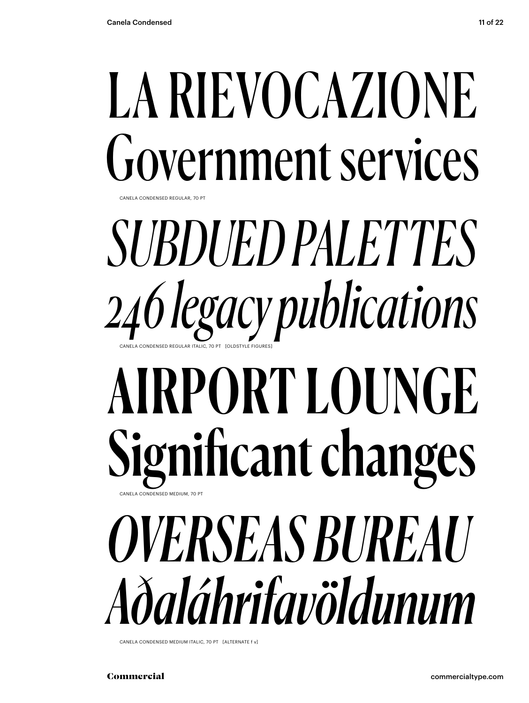## LA RIEVOCAZIONE Government services CANELA CONDENSED REGULAR, 70 PT

SUBDUED PALETTES 246 legacy publications

## AIRPORT LOUNGE Significant changes CANELA CONDENSED MEDIUM, 70 F

# *OVERSEAS BUREAU* Aðaláhrifavöldunum

CANELA CONDENSED MEDIUM ITALIC, 70 PT [ALTERNATE f v]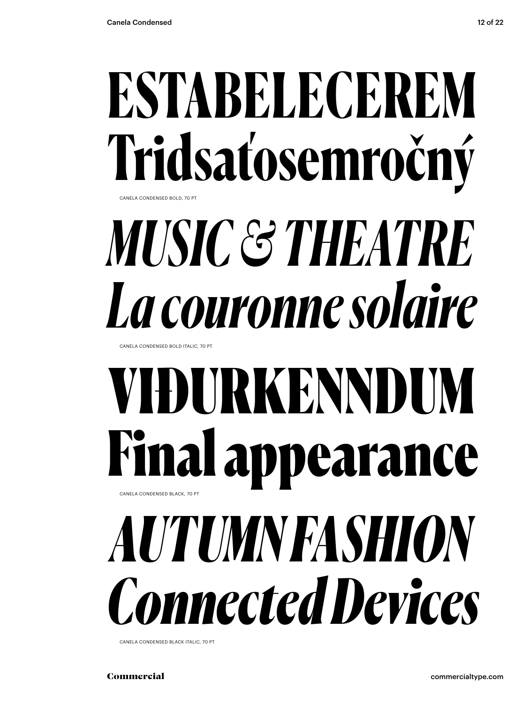## ESTABELECEREM Tridsaťosemročný CANELA CONDENSED BOLD, 70 PT

# MUSIC & THEATRE La couronne solaire

CANELA CONDENSED BOLD ITALIC 70 PT

## VIĐURKENNDUM **Final appearance** CANELA CONDENSED BLACK, 70 PT **AUTUMNFASHION Connected Devices**

CANELA CONDENSED BLACK ITALIC, 70 PT

Commercial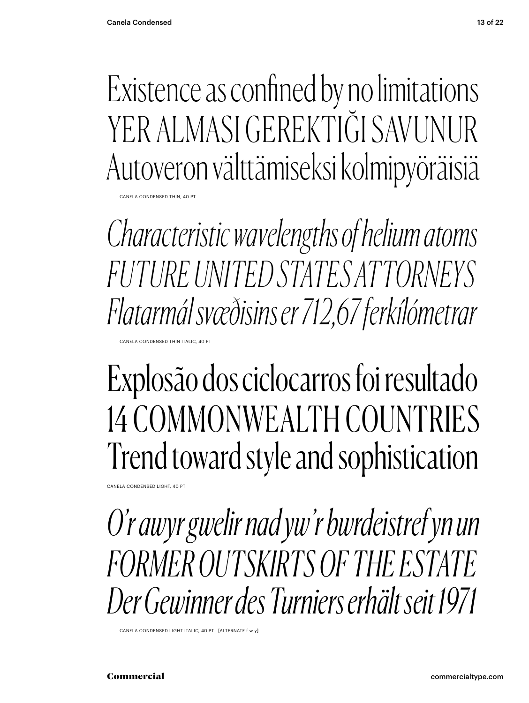Existence as confined by no limitations YER ALMASI GEREKTIĞI SAVI INI IR Autoveron välttämiseksi kolmipyöräisiä

CANELA CONDENSED THIN, 40 PT

*Characteristic wavelengths of helium atoms FUTURE UNITED STATES ATTORNEYS Flatarmál svæðisins er 712,67 ferkílómetrar*

CANELA CONDENSED THIN ITALIC, 40 PT

### Explosão dos ciclocarros foi resultado 14 COMMONWEALTH COUNTRIES Trend toward style and sophistication

CANELA CONDENSED LIGHT, 40 PT

*O'r awyr gwelir nad yw'r bwrdeistref yn un FORMER OUTSKIRTS OF THE ESTATE Der Gewinner des Turniers erhält seit 1971*

CANELA CONDENSED LIGHT ITALIC, 40 PT [ALTERNATE f w y]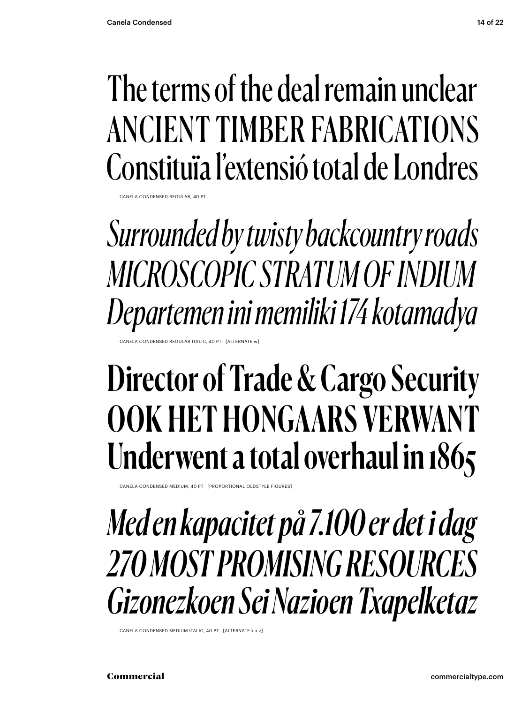### The terms of the deal remain unclear ANCIENT TIMBER FABRICATIONS Constituïa l'extensió total de Londres

CANELA CONDENSED REGULAR, 40 PT

*Surrounded by twisty backcountry roads MICROSCOPIC STRATUM OF INDIUM Departemen ini memiliki 174 kotamadya*

CONDENSED REGULAR ITALIC, 40 PT [ALTERNATE

### Director of Trade & Cargo Security OOK HET HONGAARS VERWANT Underwent a total overhaul in 1865

CANELA CONDENSED MEDIUM, 40 PT [PROPORTIONAL OLDSTYLE FIGURES]

*Med en kapacitet på 7.100 er det i dag 270 MOST PROMISING RESOURCES Gizonezkoen Sei Nazioen Txapelketaz*

CANELA CONDENSED MEDIUM ITALIC, 40 PT [ALTERNATE k x z]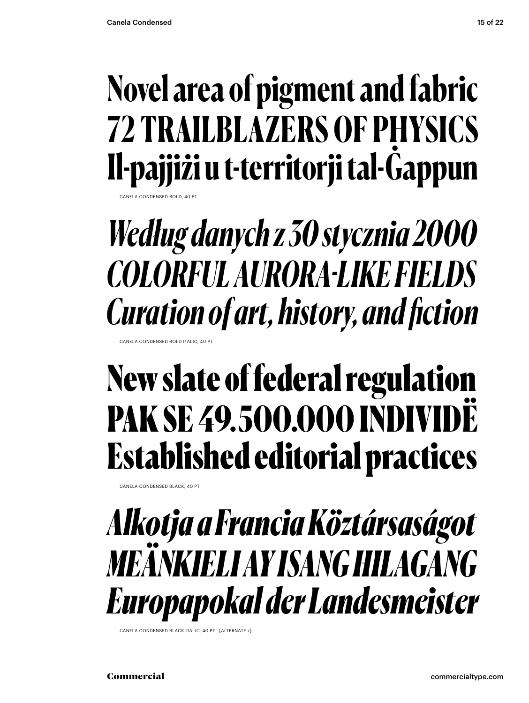### Novel area of pigment and fabric **72 TRAILBLAZERS OF PHYSICS** Il-pajjiži u t-territorji tal-Gappun

CANELA CONDENSED BOLD, 40 P

Według danych z 30 stycznia 2000 **COLORFUL AURORA-LIKE FIELDS Curation of art, history, and fiction** 

CANELA CONDENSED BOLD ITALIC, 40 PT

### New slate of federal regulation **PAK SE 49.500.000 INDIVIDË Established editorial practices**

CANELA CONDENSED BLACK, 40 PT

#### Alkotja a Francia Köztársaságot **MEANKIELI AY ISANG HILAGANG** Europapokal der Landesmeister

CANELA CONDENSED BLACK ITALIC, 40 PT FALTERNATE 7

Commercial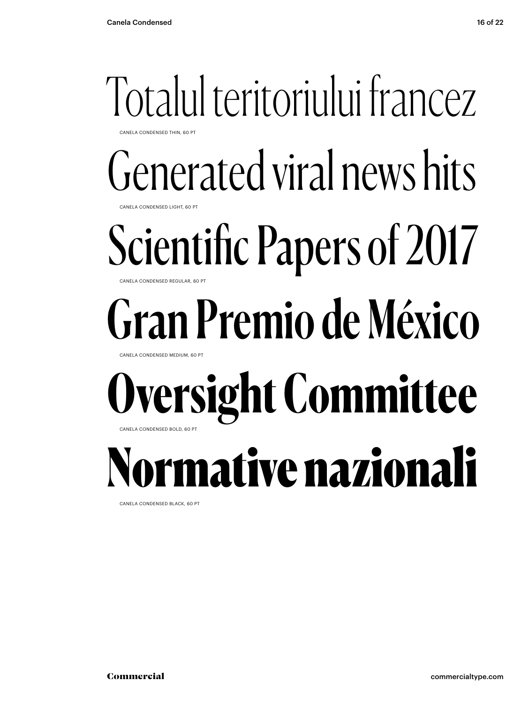#### Totalul teritoriului francez CANELA CONDENSED THIN, 60 PT

Generated viral news hits

CANELA CONDENSED LIGHT, 60 PT

#### Scientific Papers of 2017 CANELA CONDENSED REGULAR, 60 PT

# Gran Premio de México

CANELA CONDENSED MEDIUM, 60 PT

#### **Oversight Committee** CANELA CONDENSED BOLD, 60 PT

Normative nazionali

CANELA CONDENSED BLACK, 60 PT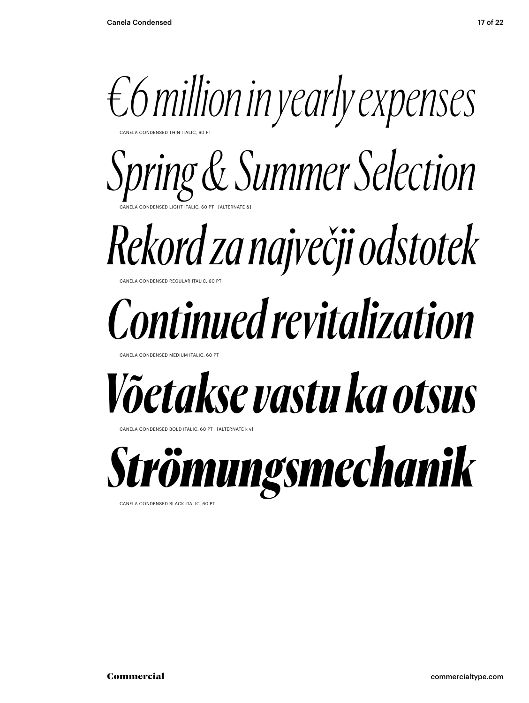

CANELA CONDENSED THIN ITALIC, 60 PT

CANELA CONDENSED LIGHT ITALIC, 60 PT [ALTERNATE &] *Spring & Summer Selection*

#### **NELA CONDENSED REGULAR ITALIC, 60 PT** *Rekord za največji odstotek*

# *Continued revitalization*

CANELA CONDENSED MEDIUM ITALIC

## *Võetakse vastu ka otsus*

CANELA CONDENSED BOLD ITALIC, 60 PT [ALTERNATE k v]



CANELA CONDENSED BLACK ITALIC, 60 PT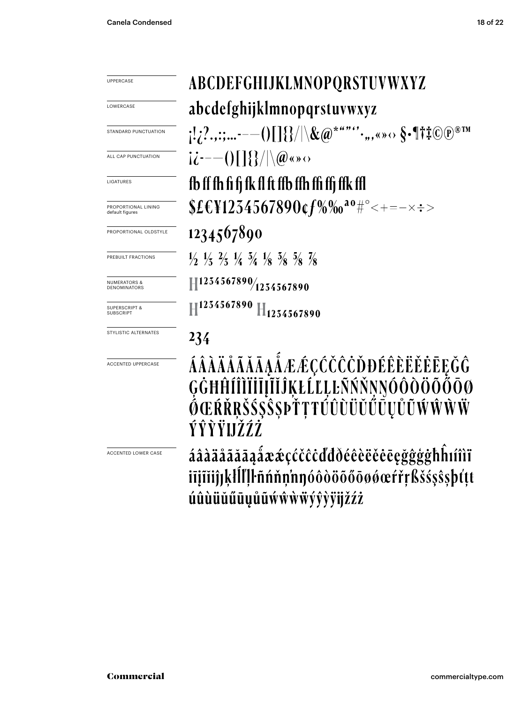ABCDEFGHIJKLMNOPQRSTUVWXYZ abcdefghijklmnopqrstuvwxyz  $[!2!...;...--()[]$ } $| \$ / $\& @$ \*""'',,,«»  $\leftrightarrow$   $\S$ •¶ $\sharp$ i $\mathbb{C}$  $\mathbb{P}$ ®IM  $i\dot{\iota}$  --- () [ ] { } /  $\langle \phi \rangle$  (  $\phi \rangle$ fb ff fh fi fj fk fl ft ffb ffh ffi ffj ffk ffl  $$E&1254567890$ cf%%<sup>20</sup>#°<+=-x:> 1234567890  $\frac{1}{2}$   $\frac{1}{3}$   $\frac{2}{3}$   $\frac{1}{4}$   $\frac{3}{4}$   $\frac{1}{8}$   $\frac{5}{8}$   $\frac{5}{8}$   $\frac{7}{8}$  $H^{1254567890}/_{1254567890}$  $\mathbb{H}^{1254567890}$   $\mathbb{H}_{1254567890}$ 234

## ÁÂÀÄÅÃĂĀĄÁÆÆÇĆČČČĎĐÉÊÈËĚĖĒĘĞĜ<br>ĢĠĦĤĺĨĨĬĬĨĮĨĬĴĶŁĹĽĻĿÑŃŇŅŎÔŎŎŎŎŎŌØ<br>ŐŒŔŘŖŠŚŞŜŞÞŤŢŦÚÛŨŬŬŰŨŲŮŨŴŴŴŴ ÝŶŶŸIJŽŹŹ

áâàäåãăāąåææçćčĉċďđðéêèëěēęğĝģģħĥıíîìï iījīiijjķlll'ļŀñńňņ'nŋóôòöõőōøøœŕřŗßšśşŝşþťṭt úûùüŭűūụůũẃŵẁẅýŷỳÿijžźż

UPPERCASE LOWERCASE

STANDARD PUNCTUATION

ALL CAP PUNCTUATION

LIGATURES

PROPORTIONAL LINING default figures

PROPORTIONAL OLDSTYLE

PREBUILT FRACTIONS

NUMERATORS & DENOMINATORS

SUPERSCRIPT & **SUBSCRIPT** 

STYLISTIC ALTERNATES

ACCENTED UPPERCASE

ACCENTED LOWER CASE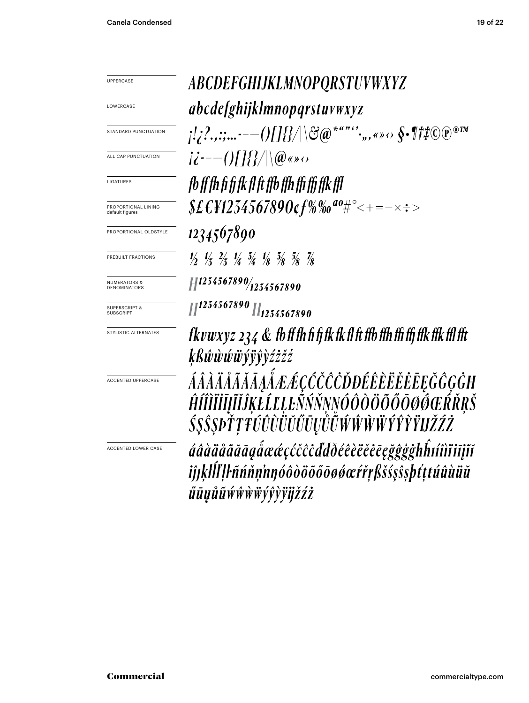ABCDEFGHIJKLMNOPQRSTUVWXYZ *abcdefghijklmnopqrstuvwxyz*  $\frac{1}{2}$ .......--- $\frac{1}{2}$ ......-- $\frac{1}{2}$  $ii^{---(0)}$ fb ff fh fi fi fk fl ft ffb ffh ffi ffi ffk ffl  $$E$ £¥1234567890¢f%‰ª°#°<+=-×÷> 1234567890  $\frac{1}{2}$   $\frac{1}{3}$   $\frac{2}{3}$   $\frac{1}{4}$   $\frac{5}{4}$   $\frac{1}{8}$   $\frac{5}{8}$   $\frac{5}{8}$   $\frac{7}{8}$  $H^{1254567890}/_{1254567890}$  $H^{1234567890}$  H<sub>1234567890</sub>  $Rvuxyz$  234  $\&$  fb ff fh fi fj fk fk fl ft ffb ffh ffi ffj ffk ffk ffl fft kßŵwwwvyvdźżźź ÁÂÀÄÅÃĂĀĄÁÆÆÇČČČÒĐÉÊÈËĔĒĘĞĜĢĠĦ ĤÍÎÌÏĬĪĮĨĬĴĶŁĹĽĻĿÑŃŇŅŊÓÔÒÖÕŐŌØŎŒŔŘŖŠ ŚŞŜŞÞŤŢŦŰÛÙÜŬŰŪŲŮŨŴŴŴŴŶŶŶŸIJŽŹŻ áâàäåããāąåææçćčĉċďdðéêèëěēęğĝģġhĥıíîìïiīįĩĭ iĵjķlĺľļŀñńňņ'nŋóôòöõőōøøœŕřŗßšśşŝşþťţtúûùüŭ űūųůũẃŵẁŵýŷỳÿijžźż

LOWERCASE

UPPERCASE

STANDARD PUNCTUATION

ALL CAP PUNCTUATION

**LIGATURES** 

PROPORTIONAL LINING default figures

PROPORTIONAL OLDSTYLE

PREBUILT FRACTIONS

NUMERATORS & DENOMINATORS

SUPERSCRIPT & **SUBSCRIPT** 

STYLISTIC ALTERNATES

ACCENTED UPPERCASE

ACCENTED LOWER CASE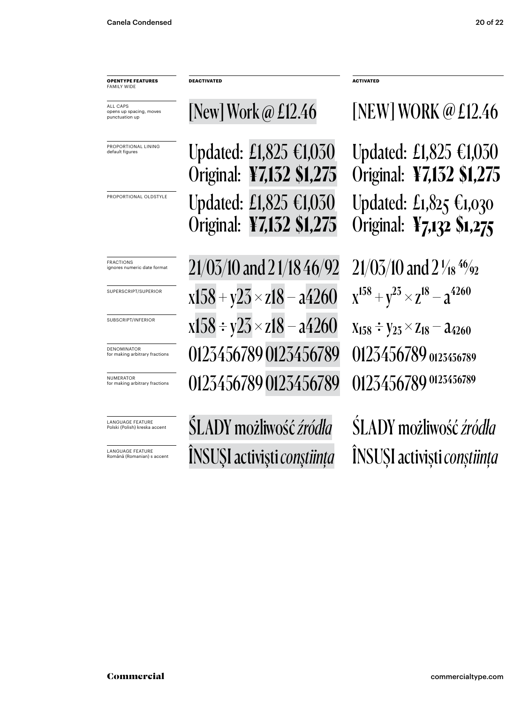**OPENTYPE FEATURES** FAMILY WIDE

ALL CAPS opens up spacing, moves punctuation up

PROPORTIONAL LINING default figures

PROPORTIONAL OLDSTYLE

LANGUAGE FEATURE Polski (Polish) kreska accent

LANGUAGE FEATURE Română (Romanian) s accent Updated: £1,825 €1,030 Original: **¥7,132 \$1,275** Updated: £1,825 €1,030

**DEACTIVATED ACTIVATED**

Original: **¥7,132 \$1,275**

FRACTIONS craces numeric date format  $21/05/10$  and  $21/18$   $46/92$   $21/05/10$  and  $2$   $1/18$   $^{46}\%$ superscript/superior  $\mathrm{x}158 + \mathrm{y}25 \times \mathrm{z}18 - \mathrm{a}4260$   $\mathrm{x}^{158} + \mathrm{y}^{25} \times \mathrm{z}^{18} - \mathrm{a}^{4260}$ subscript/inferior  $\mathrm{x}158 \div \mathrm{y}25 \!\times\! \mathrm{z}18\! -\mathrm{a}4260$   $\mathrm{x}_{158} \div \mathrm{y}_{25} \!\times\! \mathrm{z}_{18} \!-\! \mathrm{a}_{4260}$ NUMERATOR for making arbitrary fractions 0123456789 0123456789 0123456789 DENOMINATOR AND ITCHTONS DENOMINATOR **DENOMINATOR** 20123456789 0123456789

[New] Work @ £12.46 [NEW] WORK @ £12.46

Updated: £1,825 €1,030 Original: **¥7,132 \$1,275** Updated: £1,825 €1,030 Original: **¥7,132 \$1,275**

ŚLADY możliwość *źródła* ŚLADY możliwość *źródła* ÎNSUŞI activişti *conştiinţa* ÎNSUŞI activişti *conştiinţa*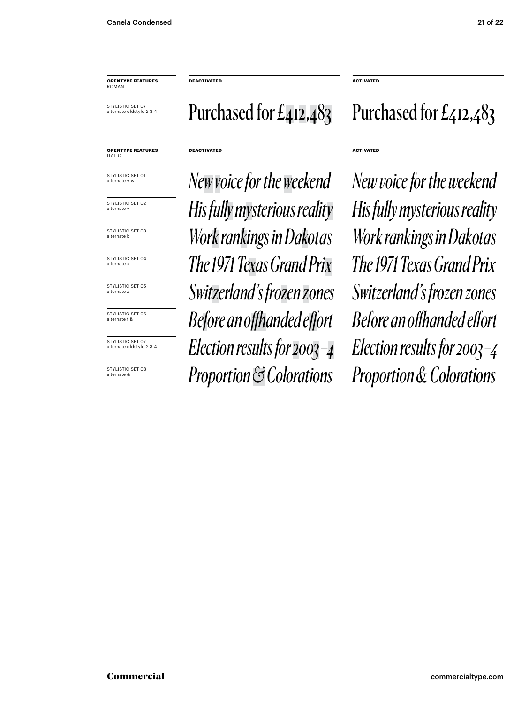STYLISTIC SET 07 alternate oldstyle 2 3 4

**DEACTIVATED ACTIVATED**

#### **DEACTIVATED ACTIVATED**

STYLISTIC SET 01 alternate v w

**OPENTYPE FEATURES**

ITALIC

STYLISTIC SET 02 alternate y

STYLISTIC SET 03 alternate k

STYLISTIC SET 04 alternate x

STYLISTIC SET 05 alternate z

STYLISTIC SET 06 alternate f ß

STYLISTIC SET 07 alternate oldstyle 2 3 4

STYLISTIC SFT 08 alternate &

*Newvoice for the weekend New voice for the weekend The 1971 Texas Grand Prix The 1971 Texas Grand Prix Switzerland's frozen zones Switzerland's frozen zones Before an offhanded effort Before an offhanded effort Election results for 2003 –4 Election results for 2003 –4 His fully mysterious reality His fully mysterious reality Work rankings in Dakotas Work rankings in Dakotas*

#### Purchased for  $E_4$ 12,483 Purchased for  $E_4$ 12,483

*Proportion & Colorations Proportion & Colorations*